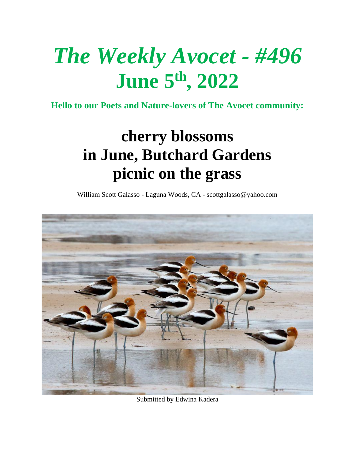# *The Weekly Avocet - #496* **June 5 th, 2022**

**Hello to our Poets and Nature-lovers of The Avocet community:**

## **cherry blossoms in June, Butchard Gardens picnic on the grass**

William Scott Galasso - Laguna Woods, CA - [scottgalasso@yahoo.com](mailto:scottgalasso@yahoo.com)



Submitted by Edwina Kadera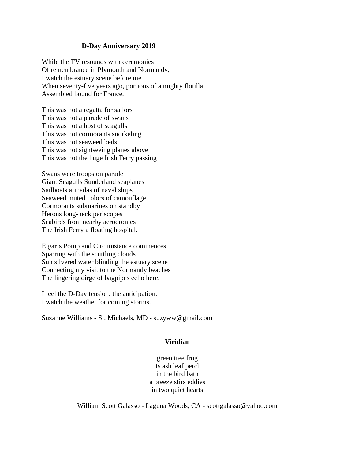#### **D-Day Anniversary 2019**

While the TV resounds with ceremonies Of remembrance in Plymouth and Normandy, I watch the estuary scene before me When seventy-five years ago, portions of a mighty flotilla Assembled bound for France.

This was not a regatta for sailors This was not a parade of swans This was not a host of seagulls This was not cormorants snorkeling This was not seaweed beds This was not sightseeing planes above This was not the huge Irish Ferry passing

Swans were troops on parade Giant Seagulls Sunderland seaplanes Sailboats armadas of naval ships Seaweed muted colors of camouflage Cormorants submarines on standby Herons long-neck periscopes Seabirds from nearby aerodromes The Irish Ferry a floating hospital.

Elgar's Pomp and Circumstance commences Sparring with the scuttling clouds Sun silvered water blinding the estuary scene Connecting my visit to the Normandy beaches The lingering dirge of bagpipes echo here.

I feel the D-Day tension, the anticipation. I watch the weather for coming storms.

Suzanne Williams - St. Michaels, MD - [suzyww@gmail.com](mailto:suzyww@gmail.com)

#### **Viridian**

green tree frog its ash leaf perch in the bird bath a breeze stirs eddies in two quiet hearts

William Scott Galasso - Laguna Woods, CA - [scottgalasso@yahoo.com](mailto:scottgalasso@yahoo.com)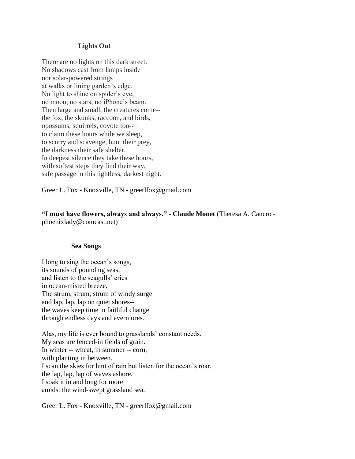#### **Lights Out**

There are no lights on this dark street. No shadows cast from lamps inside nor solar-powered strings at walks or lining garden's edge. No light to shine on spider's eye, no moon, no stars, no iPhone's beam. Then large and small, the creatures come- the fox, the skunks, raccoon, and birds, opossums, squirrels, coyote too--– to claim these hours while we sleep, to scurry and scavenge, hunt their prey, the darkness their safe shelter. In deepest silence they take these hours, with softest steps they find their way, safe passage in this lightless, darkest night.

Greer L. Fox - Knoxville, TN - greerlfox@gmail.com

**"I must have flowers, always and always." - Claude Monet** (Theresa A. Cancro phoenixlady@comcast.net)

#### **Sea Songs**

I long to sing the ocean's songs, its sounds of pounding seas, and listen to the seagulls' cries in ocean-misted breeze. The strum, strum, strum of windy surge and lap, lap, lap on quiet shores- the waves keep time in faithful change through endless days and evermores.

Alas, my life is ever bound to grasslands' constant needs. My seas are fenced-in fields of grain. In winter -- wheat, in summer -- corn, with planting in between. I scan the skies for hint of rain but listen for the ocean's roar, the lap, lap, lap of waves ashore. I soak it in and long for more amidst the wind-swept grassland sea.

Greer L. Fox - Knoxville, TN - greerlfox@gmail.com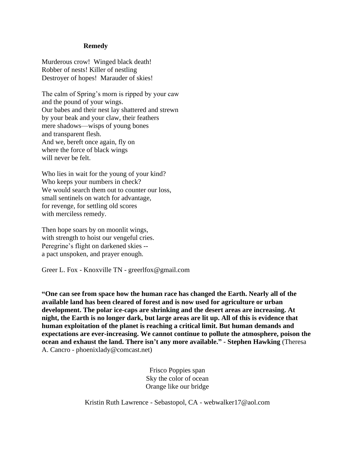#### **Remedy**

Murderous crow! Winged black death! Robber of nests! Killer of nestling Destroyer of hopes! Marauder of skies!

The calm of Spring's morn is ripped by your caw and the pound of your wings. Our babes and their nest lay shattered and strewn by your beak and your claw, their feathers mere shadows—wisps of young bones and transparent flesh. And we, bereft once again, fly on where the force of black wings will never be felt.

Who lies in wait for the young of your kind? Who keeps your numbers in check? We would search them out to counter our loss, small sentinels on watch for advantage, for revenge, for settling old scores with merciless remedy.

Then hope soars by on moonlit wings, with strength to hoist our vengeful cries. Peregrine's flight on darkened skies - a pact unspoken, and prayer enough.

Greer L. Fox - Knoxville TN - greerlfox@gmail.com

**"One can see from space how the human race has changed the Earth. Nearly all of the available land has been cleared of forest and is now used for agriculture or urban development. The polar ice-caps are shrinking and the desert areas are increasing. At night, the Earth is no longer dark, but large areas are lit up. All of this is evidence that human exploitation of the planet is reaching a critical limit. But human demands and expectations are ever-increasing. We cannot continue to pollute the atmosphere, poison the ocean and exhaust the land. There isn't any more available." - Stephen Hawking** (Theresa A. Cancro - phoenixlady@comcast.net)

> Frisco Poppies span Sky the color of ocean Orange like our bridge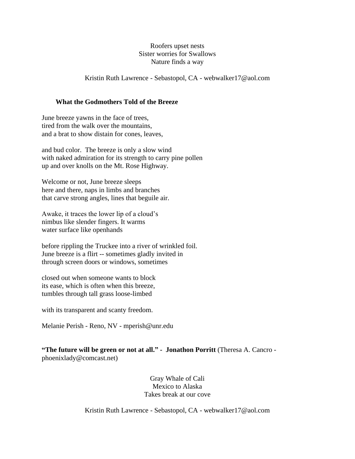#### Roofers upset nests Sister worries for Swallows Nature finds a way

#### Kristin Ruth Lawrence - Sebastopol, CA - webwalker17@aol.com

#### **What the Godmothers Told of the Breeze**

June breeze yawns in the face of trees, tired from the walk over the mountains, and a brat to show distain for cones, leaves,

and bud color. The breeze is only a slow wind with naked admiration for its strength to carry pine pollen up and over knolls on the Mt. Rose Highway.

Welcome or not, June breeze sleeps here and there, naps in limbs and branches that carve strong angles, lines that beguile air.

Awake, it traces the lower lip of a cloud's nimbus like slender fingers. It warms water surface like openhands

before rippling the Truckee into a river of wrinkled foil. June breeze is a flirt -- sometimes gladly invited in through screen doors or windows, sometimes

closed out when someone wants to block its ease, which is often when this breeze, tumbles through tall grass loose-limbed

with its transparent and scanty freedom.

Melanie Perish - Reno, NV - [mperish@unr.edu](mailto:mperish@unr.edu)

**"The future will be green or not at all." - Jonathon Porritt** (Theresa A. Cancro phoenixlady@comcast.net)

> Gray Whale of Cali Mexico to Alaska Takes break at our cove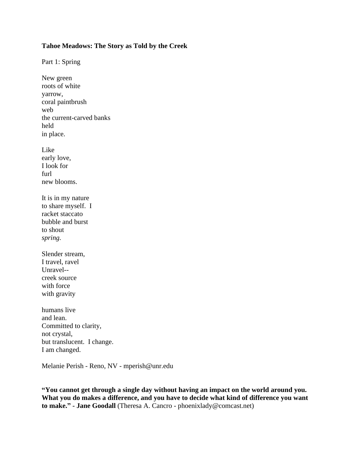#### **Tahoe Meadows: The Story as Told by the Creek**

Part 1: Spring

New green roots of white yarrow, coral paintbrush web the current-carved banks held in place. Like early love, I look for furl new blooms. It is in my nature to share myself. I racket staccato bubble and burst to shout *spring.* Slender stream, I travel, ravel Unravel- creek source with force with gravity humans live and lean. Committed to clarity, not crystal, but translucent. I change. I am changed.

Melanie Perish - Reno, NV - [mperish@unr.edu](mailto:mperish@unr.edu)

**"You cannot get through a single day without having an impact on the world around you. What you do makes a difference, and you have to decide what kind of difference you want to make." - Jane Goodall** (Theresa A. Cancro - phoenixlady@comcast.net)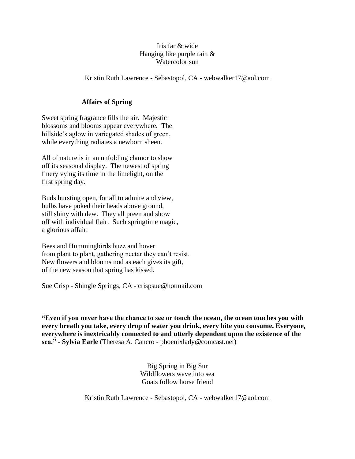#### Iris far & wide Hanging like purple rain & Watercolor sun

#### Kristin Ruth Lawrence - Sebastopol, CA - webwalker17@aol.com

#### **Affairs of Spring**

Sweet spring fragrance fills the air. Majestic blossoms and blooms appear everywhere. The hillside's aglow in variegated shades of green, while everything radiates a newborn sheen.

All of nature is in an unfolding clamor to show off its seasonal display. The newest of spring finery vying its time in the limelight, on the first spring day.

Buds bursting open, for all to admire and view, bulbs have poked their heads above ground, still shiny with dew. They all preen and show off with individual flair. Such springtime magic, a glorious affair.

Bees and Hummingbirds buzz and hover from plant to plant, gathering nectar they can't resist. New flowers and blooms nod as each gives its gift, of the new season that spring has kissed.

Sue Crisp - Shingle Springs, CA - crispsue@hotmail.com

**"Even if you never have the chance to see or touch the ocean, the ocean touches you with every breath you take, every drop of water you drink, every bite you consume. Everyone, everywhere is inextricably connected to and utterly dependent upon the existence of the sea." - Sylvia Earle** (Theresa A. Cancro - phoenixlady@comcast.net)

> Big Spring in Big Sur Wildflowers wave into sea Goats follow horse friend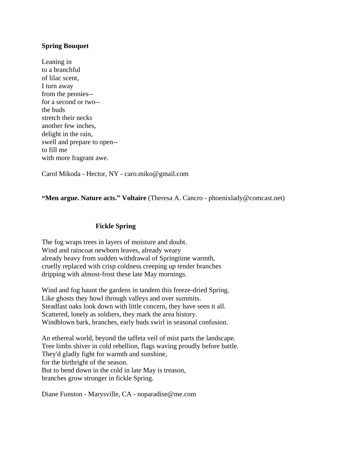#### **Spring Bouquet**

Leaning in to a branchful of lilac scent, I turn away from the peonies- for a second or two- the buds stretch their necks another few inches, delight in the rain, swell and prepare to open- to fill me with more fragrant awe.

Carol Mikoda - Hector, NY - [caro.miko@gmail.com](mailto:caro.miko@gmail.com)

#### **"Men argue. Nature acts." Voltaire** (Theresa A. Cancro - phoenixlady@comcast.net)

#### **Fickle Spring**

The fog wraps trees in layers of moisture and doubt. Wind and raincoat newborn leaves, already weary already heavy from sudden withdrawal of Springtime warmth, cruelly replaced with crisp coldness creeping up tender branches dripping with almost-frost these late May mornings.

Wind and fog haunt the gardens in tandem this freeze-dried Spring. Like ghosts they howl through valleys and over summits. Steadfast oaks look down with little concern, they have seen it all. Scattered, lonely as soldiers, they mark the area history. Windblown bark, branches, early buds swirl in seasonal confusion.

An ethereal world, beyond the taffeta veil of mist parts the landscape. Tree limbs shiver in cold rebellion, flags waving proudly before battle. They'd gladly fight for warmth and sunshine, for the birthright of the season. But to bend down in the cold in late May is treason, branches grow stronger in fickle Spring.

Diane Funston - Marysville, CA - noparadise@me.com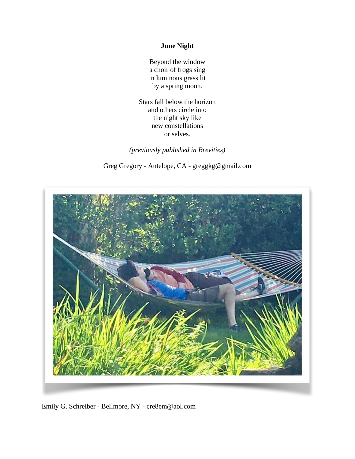#### **June Night**

Beyond the window a choir of frogs sing in luminous grass lit by a spring moon.

Stars fall below the horizon and others circle into the night sky like new constellations or selves.

*(previously published in Brevities)*

Greg Gregory - Antelope, CA - [greggkg@gmail.com](mailto:greggkg@gmail.com)



Emily G. Schreiber - Bellmore, NY - [cre8em@aol.com](mailto:cre8em@aol.com)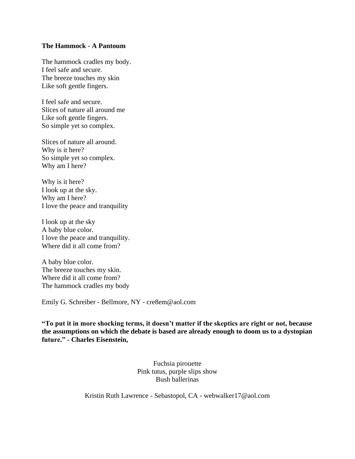#### **The Hammock - A Pantoum**

The hammock cradles my body. I feel safe and secure. The breeze touches my skin Like soft gentle fingers.

I feel safe and secure. Slices of nature all around me Like soft gentle fingers. So simple yet so complex.

Slices of nature all around. Why is it here? So simple yet so complex. Why am I here?

Why is it here? I look up at the sky. Why am I here? I love the peace and tranquility

I look up at the sky A baby blue color. I love the peace and tranquility. Where did it all come from?

A baby blue color. The breeze touches my skin. Where did it all come from? The hammock cradles my body

Emily G. Schreiber - Bellmore, NY - [cre8em@aol.com](mailto:cre8em@aol.com)

**"To put it in more shocking terms, it doesn't matter if the skeptics are right or not, because the assumptions on which the debate is based are already enough to doom us to a dystopian future." - Charles Eisenstein,**

> Fuchsia pirouette Pink tutus, purple slips show Bush ballerinas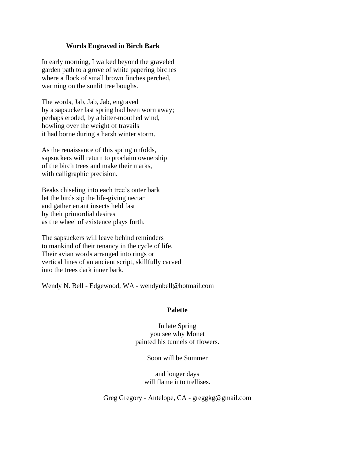#### **Words Engraved in Birch Bark**

In early morning, I walked beyond the graveled garden path to a grove of white papering birches where a flock of small brown finches perched, warming on the sunlit tree boughs.

The words, Jab, Jab, Jab, engraved by a sapsucker last spring had been worn away; perhaps eroded, by a bitter-mouthed wind, howling over the weight of travails it had borne during a harsh winter storm.

As the renaissance of this spring unfolds, sapsuckers will return to proclaim ownership of the birch trees and make their marks, with calligraphic precision.

Beaks chiseling into each tree's outer bark let the birds sip the life-giving nectar and gather errant insects held fast by their primordial desires as the wheel of existence plays forth.

The sapsuckers will leave behind reminders to mankind of their tenancy in the cycle of life. Their avian words arranged into rings or vertical lines of an ancient script, skillfully carved into the trees dark inner bark.

Wendy N. Bell - Edgewood, WA - wendynbell@hotmail.com

#### **Palette**

In late Spring you see why Monet painted his tunnels of flowers.

Soon will be Summer

and longer days will flame into trellises.

Greg Gregory - Antelope, CA - [greggkg@gmail.com](mailto:greggkg@gmail.com)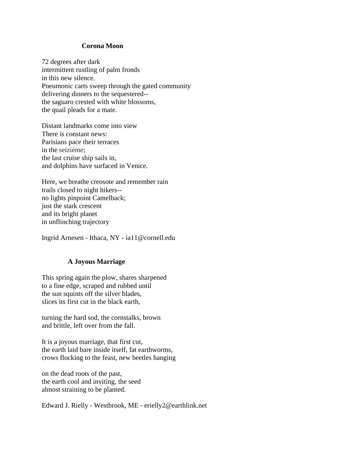#### **Corona Moon**

72 degrees after dark intermittent rustling of palm fronds in this new silence. Pneumonic carts sweep through the gated community delivering dinners to the sequestered- the saguaro crested with white blossoms, the quail pleads for a mate.

Distant landmarks come into view There is constant news: Parisians pace their terraces in the seizième; the last cruise ship sails in, and dolphins have surfaced in Venice.

Here, we breathe creosote and remember rain trails closed to night hikers- no lights pinpoint Camelback; just the stark crescent and its bright planet in unflinching trajectory

Ingrid Arnesen - Ithaca, NY - ia11@cornell.edu

#### **A Joyous Marriage**

This spring again the plow, shares sharpened to a fine edge, scraped and rubbed until the sun squints off the silver blades, slices its first cut in the black earth,

turning the hard sod, the cornstalks, brown and brittle, left over from the fall.

It is a joyous marriage, that first cut, the earth laid bare inside itself, fat earthworms, crows flocking to the feast, new beetles hanging

on the dead roots of the past, the earth cool and inviting, the seed almost straining to be planted.

Edward J. Rielly - Westbrook, ME - erielly2@earthlink.net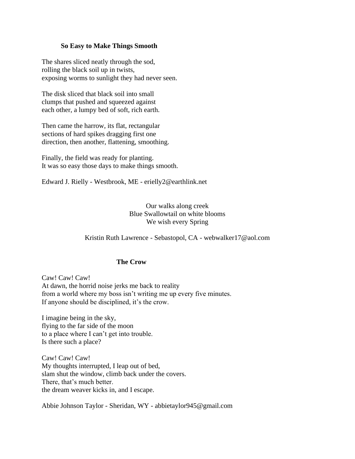#### **So Easy to Make Things Smooth**

The shares sliced neatly through the sod, rolling the black soil up in twists, exposing worms to sunlight they had never seen.

The disk sliced that black soil into small clumps that pushed and squeezed against each other, a lumpy bed of soft, rich earth.

Then came the harrow, its flat, rectangular sections of hard spikes dragging first one direction, then another, flattening, smoothing.

Finally, the field was ready for planting. It was so easy those days to make things smooth.

Edward J. Rielly - Westbrook, ME - erielly2@earthlink.net

#### Our walks along creek Blue Swallowtail on white blooms We wish every Spring

#### Kristin Ruth Lawrence - Sebastopol, CA - webwalker17@aol.com

#### **The Crow**

Caw! Caw! Caw! At dawn, the horrid noise jerks me back to reality from a world where my boss isn't writing me up every five minutes. If anyone should be disciplined, it's the crow.

I imagine being in the sky, flying to the far side of the moon to a place where I can't get into trouble. Is there such a place?

Caw! Caw! Caw! My thoughts interrupted, I leap out of bed, slam shut the window, climb back under the covers. There, that's much better. the dream weaver kicks in, and I escape.

Abbie Johnson Taylor - Sheridan, WY - [abbietaylor945@gmail.com](mailto:abbietaylor945@gmail.com)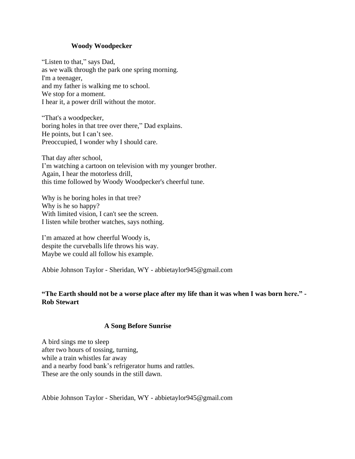#### **Woody Woodpecker**

"Listen to that," says Dad, as we walk through the park one spring morning. I'm a teenager, and my father is walking me to school. We stop for a moment. I hear it, a power drill without the motor.

"That's a woodpecker, boring holes in that tree over there," Dad explains. He points, but I can't see. Preoccupied, I wonder why I should care.

That day after school, I'm watching a cartoon on television with my younger brother. Again, I hear the motorless drill, this time followed by Woody Woodpecker's cheerful tune.

Why is he boring holes in that tree? Why is he so happy? With limited vision, I can't see the screen. I listen while brother watches, says nothing.

I'm amazed at how cheerful Woody is, despite the curveballs life throws his way. Maybe we could all follow his example.

Abbie Johnson Taylor - Sheridan, WY - abbietaylor945@gmail.com

#### "The Earth should not be a worse place after my life than it was when I was born here." -**Rob Stewart**

#### **A Song Before Sunrise**

A bird sings me to sleep after two hours of tossing, turning, while a train whistles far away and a nearby food bank's refrigerator hums and rattles. These are the only sounds in the still dawn.

Abbie Johnson Taylor - Sheridan, WY - abbietaylor945@gmail.com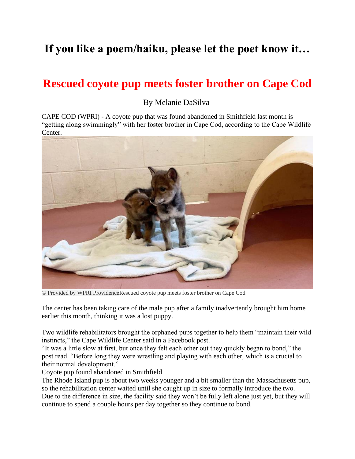## **If you like a poem/haiku, please let the poet know it…**

## **Rescued coyote pup meets foster brother on Cape Cod**

By Melanie DaSilva

CAPE COD (WPRI) - A coyote pup that was found abandoned in Smithfield last month is "getting along swimmingly" with her foster brother in Cape Cod, according to the Cape Wildlife Center.



© Provided by WPRI ProvidenceRescued coyote pup meets foster brother on Cape Cod

The center has been taking care of the male pup after a family inadvertently brought him home earlier this month, [thinking it was a lost puppy.](https://www.facebook.com/CapeWildlife/posts/pfbid0228h1i21TUCCHZ4zTT9ur7XQ9Lamg5LxKnpeW5GXxdE44oymjVVpcgWcg37ipBBdhl)

Two wildlife rehabilitators brought the orphaned pups together to help them "maintain their wild instincts," the Cape Wildlife Center said in a [Facebook post.](https://www.facebook.com/CapeWildlife/posts/2300119396806230)

"It was a little slow at first, but once they felt each other out they quickly began to bond," the post read. "Before long they were wrestling and playing with each other, which is a crucial to their normal development."

[Coyote pup found abandoned in Smithfield](https://www.wpri.com/news/local-news/northwest/coyote-pup-found-abandoned-in-smithfield/?ipid=promo-link-block1)

The Rhode Island pup is about two weeks younger and a bit smaller than the Massachusetts pup, so the rehabilitation center waited until she caught up in size to formally introduce the two. Due to the difference in size, the facility said they won't be fully left alone just yet, but they will continue to spend a couple hours per day together so they continue to bond.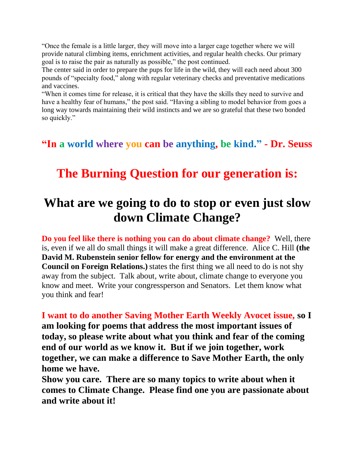"Once the female is a little larger, they will move into a larger cage together where we will provide natural climbing items, enrichment activities, and regular health checks. Our primary goal is to raise the pair as naturally as possible," the post continued.

The center said in order to prepare the pups for life in the wild, they will each need about 300 pounds of "specialty food," along with regular veterinary checks and preventative medications and vaccines.

"When it comes time for release, it is critical that they have the skills they need to survive and have a healthy fear of humans," the post said. "Having a sibling to model behavior from goes a long way towards maintaining their wild instincts and we are so grateful that these two bonded so quickly."

**"In a world where you can be anything, be kind." - Dr. Seuss**

## **The Burning Question for our generation is:**

## **What are we going to do to stop or even just slow down Climate Change?**

**Do you feel like there is nothing you can do about climate change?** Well, there is, even if we all do small things it will make a great difference. Alice C. Hill **(the David M. Rubenstein senior fellow for energy and the environment at the Council on Foreign Relations.**) states the first thing we all need to do is not shy away from the subject. Talk about, write about, climate change to everyone you know and meet. Write your congressperson and Senators. Let them know what you think and fear!

**I want to do another Saving Mother Earth Weekly Avocet issue, so I am looking for poems that address the most important issues of today, so please write about what you think and fear of the coming end of our world as we know it. But if we join together, work together, we can make a difference to Save Mother Earth, the only home we have.** 

**Show you care. There are so many topics to write about when it comes to Climate Change. Please find one you are passionate about and write about it!**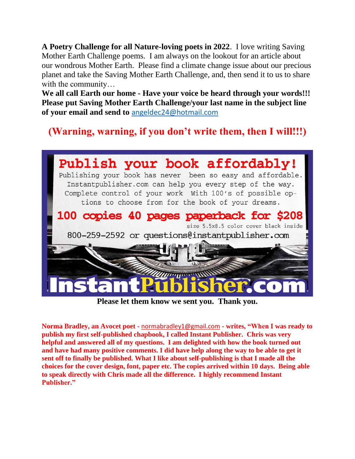**A Poetry Challenge for all Nature-loving poets in 2022**. I love writing Saving Mother Earth Challenge poems. I am always on the lookout for an article about our wondrous Mother Earth. Please find a climate change issue about our precious planet and take the Saving Mother Earth Challenge, and, then send it to us to share with the community…

**We all call Earth our home - Have your voice be heard through your words!!! Please put Saving Mother Earth Challenge/your last name in the subject line of your email and send to** [angeldec24@hotmail.com](mailto:angeldec24@hotmail.com)

### **(Warning, warning, if you don't write them, then I will!!!)**



**Please let them know we sent you. Thank you.**

**Norma Bradley, an Avocet poet -** [normabradley1@gmail.com](mailto:normabradley1@gmail.com) **- writes, "When I was ready to publish my first self-published chapbook, I called Instant Publisher. Chris was very helpful and answered all of my questions. I am delighted with how the book turned out and have had many positive comments. I did have help along the way to be able to get it sent off to finally be published. What I like about self-publishing is that I made all the choices for the cover design, font, paper etc. The copies arrived within 10 days. Being able to speak directly with Chris made all the difference. I highly recommend Instant Publisher."**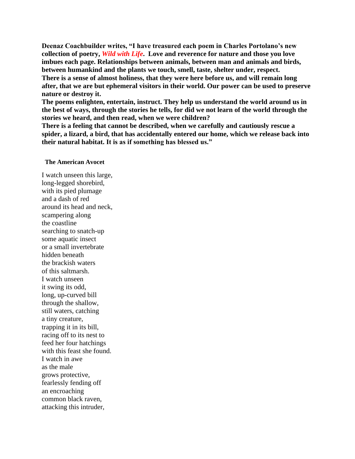**Deenaz Coachbuilder writes, "I have treasured each poem in Charles Portolano's new collection of poetry,** *Wild with Life***. Love and reverence for nature and those you love imbues each page. Relationships between animals, between man and animals and birds, between humankind and the plants we touch, smell, taste, shelter under, respect.**

**There is a sense of almost holiness, that they were here before us, and will remain long after, that we are but ephemeral visitors in their world. Our power can be used to preserve nature or destroy it.**

**The poems enlighten, entertain, instruct. They help us understand the world around us in the best of ways, through the stories he tells, for did we not learn of the world through the stories we heard, and then read, when we were children?**

**There is a feeling that cannot be described, when we carefully and cautiously rescue a spider, a lizard, a bird, that has accidentally entered our home, which we release back into their natural habitat. It is as if something has blessed us."** 

#### **The American Avocet**

I watch unseen this large, long-legged shorebird, with its pied plumage and a dash of red around its head and neck, scampering along the coastline searching to snatch-up some aquatic insect or a small invertebrate hidden beneath the brackish waters of this saltmarsh. I watch unseen it swing its odd, long, up-curved bill through the shallow, still waters, catching a tiny creature, trapping it in its bill, racing off to its nest to feed her four hatchings with this feast she found. I watch in awe as the male grows protective, fearlessly fending off an encroaching common black raven, attacking this intruder,